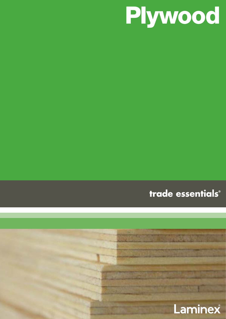

trade essentials®

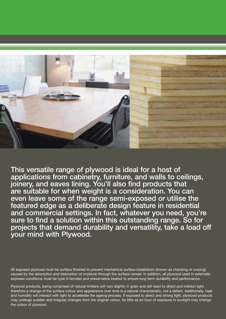

This versatile range of plywood is ideal for a host of applications from cabinetry, furniture, and walls to ceilings, joinery, and eaves lining. You'll also find products that are suitable for when weight is a consideration. You can even leave some of the range semi-exposed or utilise the featured edge as a deliberate design feature in residential and commercial settings. In fact, whatever you need, you're sure to find a solution within this outstanding range. So for projects that demand durability and versatility, take a load off your mind with Plywood.

All exposed plywood must be surface finished to prevent mechanical surface breakdown (known as checking or crazing) caused by the absorption and desorption of moisture through the surface veneer. In addition, all plywood used in externally exposed conditions must be type A bonded and preservative treated to ensure long term durability and performance.

Plywood products, being comprised of natural timbers will vary slightly in grain and will react to direct and indirect light, therefore a change of the surface colour and appearance over time is a natural characteristic, not a defect. Additionally, heat and humidity will interact with light to accelerate the ageing process. If exposed to direct and strong light, plywood products may undergo sudden and irregular changes from the original colour. As little as an hour of exposure to sunlight may change the colour of plywood.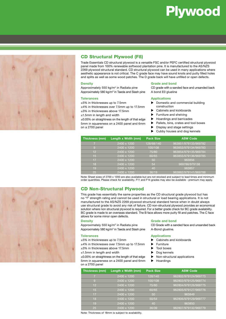# Plywood



# CD Structural Plywood (F8)

Trade Essentials CD structural plywood is a versatile FSC and/or PEFC certified structural plywood panel made from 100% renewable softwood plantation pine. It is manufactured to the AS/NZS 2269 plywood structural standard. CD structural plywood can be used in many applications where aesthetic appearance is not critical. The C grade face may have sound knots and putty filled holes and splits as well as some wood patches. The D grade back will have unfilled or open defects.

#### **Density**

Approximately 550 kg/m<sup>3</sup> in Radiata pine Approximately 580 kg/m<sup>3</sup> in Taeda and Slash pine

#### **Tolerances**

±5% in thicknesses up to 7.5mm

±4% in thicknesses over 7.5mm up to 17.5mm

±3% in thicknesses above 17.5mm

±1.5mm in length and width

±0.05% on straightness on the length of that edge 5mm in squareness on a 2400 panel and 6mm on a 2700 panel

#### **Grade and bond**

CD grade with a sanded face and unsanded back A bond E0 glueline

#### **Applications**

- Domestic and commercial building construction
- Cabinets and kickboards
- Furniture and shelving
- ▶ Hoardings and barricades
- $\blacktriangleright$  Pallets, bins, crates and tool boxes
- Display and stage settings
- Cubby houses and dog kennels

| Thickness (mm) | Length x Width (mm)      | <b>Pack Size</b> | <b>ASW Code</b>      |
|----------------|--------------------------|------------------|----------------------|
| 5              | 2400 x 1200              | 128/68/140       | 963851/979133/969782 |
| 9              | $(2400 \times 1200)^{1}$ | 100/108          | 963853/979134/969783 |
| 12             | 2400 x 1200              | 75/80            | 963854/979135/969784 |
| 15             | 2400 x 1200              | 60/65            | 963855/979136/969785 |
| 17             | 2400 x 1200              | 50               | 963856               |
| 18             | 2400 x 1200              | 54               | 969786/979138        |
| 19             | 2400 x 1200              | 40               | 963857               |
| 25             | $12400 \times 1200$      | 36/19            | 963862/979141/969788 |

Note: Sheet sizes of 2700 x 1200 are also available but are not stocked and subject to lead times and minimum order quantities. Please check for availability. F11 and F14 grades may also be available - premium may apply.

### CD Non-Structural Plywood

This grade has essentially the same properties as the CD structural grade plywood but has no "f" strength rating and cannot be used in structural or load bearing applications. It is not manufactured to the AS/NZS 2269 plywood structural standard hence when in doubt always use structural grade to avoid any risk of failure. CD non-structural plywood provides an economical solution where non structural plywood is required. For a better grade check for BC grade availability. BC grade is made to an overseas standard. The B face allows more putty fill and patches. The C face allows for some minor open defects.

#### **Density**

Approximately 550 kg/m<sup>3</sup> in Radiata pine Approximately 580 kg/m<sup>3</sup> in Taeda and Slash pine

#### **Tolerances**

±5% in thicknesses up to 7.5mm

±4% in thicknesses over 7.5mm up to 17.5mm

- ±3% in thicknesses above 17.5mm
- ±1.5mm in length and width

±0.05% on straightness on the length of that edge 5mm in squareness on a 2400 panel and 6mm on a 2700 panel

#### **Grade and bond**

CD Grade with a sanded face and unsanded back A-Bond glueline.

#### **Applications**

- Cabinets and kickboards
- Furniture
- Tool boxes
- Dog kennels
	- $\blacktriangleright$  Non-structural applications
	- Hoardings

| Thickness (mm) | Length x Width (mm) | <b>Pack Size</b> | <b>ASW Code</b>      |
|----------------|---------------------|------------------|----------------------|
| 7              | 2400 x 1200         | 128/140          | 962802/979124/969773 |
| 9              | 2400 x 1200         | 100/108          | 962803/979125/969774 |
| 12             | 2400 x 1200         | 75/80            | 962804/979126/969775 |
| 15             | 2400 x 1200         | 60/65            | 962805/979127/969776 |
| 17             | 2400 x 1200         | 50               | 963849               |
| 18             | 2400 x 1200         | 50/54            | 962806/979129/969777 |
| 19             | 2400 x 1200         | 40               | 963850               |
| 25             | 2400 x 1200         | 36/39            | 962807/979132/969779 |

Note: Thickness of 18mm is subject to availability.

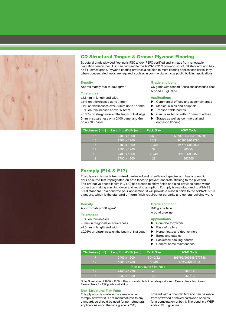

# CD Structural Tongue & Groove Plywood Flooring

Structural grade plywood flooring is FSC and/or PEFC certified and is made from renewable plantation pine timber. It is manufactured to the AS/NZS 2269 plywood structural standard, and has an F11 stress grade. Plywood flooring provides a solution to most flooring applications particularly where concentrated loads are required, such as in commercial or large public building applications.

#### **Density**

Approximately 500 to 580 kg/m3

#### **Tolerances**

±1.5mm in length and width

±5% on thicknesses up to 7.5mm

±4% on thicknesses over 7.5mm up to 17.5mm

±3% on thicknesses above 17.5mm ±0.05% on straightness on the length of that edge

5mm in squareness on a 2400 panel and 6mm on a 2700 panel

#### **Grade and bond**

CD grade with sanded C face and unsanded back A bond E0 glueline.

#### **Applications**

- Commercial offices and assembly areas
- Medical clinics and hospitals
- Transportable homes
- ▶ Can be nailed to within 10mm of edges
- Stages as well as commercial and domestic flooring

| Thickness (mm) | Length x Width (mm) | <b>Pack Size</b> | <b>ASW Code</b>      |
|----------------|---------------------|------------------|----------------------|
| 15             | 2400 x 1200         | 35/60/31         | 959782/963863/969789 |
| 15             | 2700 x 1200         | 35/31            | 963603/969790        |
| 17             | 2400 x 1200         | 32/50            | 957144/963867        |
| 17             | 2700 x 1200         | 32               | 963604               |
| 19             | 2400 x 1200         | 28/40            | 959784/963872        |
| 19             | 2700 x 1200         | 28               | 963605               |



## Formply (F14 & F17)

This plywood is made from mixed hardwood and or softwood species and has a phenolic dark coloured film impregnated on both faces to prevent concrete sticking to the plywood. The protective phenolic film (40/120) has a satin to shiny finish and also provides some water protection making washing down and reusing an option. Formply is manufactured to AS/NZS 6669 standard. In a concrete pour application, it will provide a class 3 finish to the AS/NZS 3610 standard, which is the standard off form finish required for carparks and general building work.

#### **Density**

Approximately 680 kg/m3

#### **Tolerances**

±3% on thicknesses

- ±3mm in diagonals or squareness
- ±1.0mm in length and width

±0.05% on straightness on the length of that edge

#### **Grade and bond**

B/B grade face

A bond glueline

#### **Applications**

- Concrete formwork
- Base of trailers
- Horse floats and dog kennels
- Barns and stables
- Basketball backing boards
- General home maintenance

| Thickness (mm) | Length x Width (mm) | <b>Pack Size</b>         | <b>ASW Code</b>      |
|----------------|---------------------|--------------------------|----------------------|
| 17             | 2400 x 1200         | 50/40/22                 | 898799/969648/977748 |
| 17             | 1800 x 1200         | 50/40                    | 963594/966134        |
|                |                     | Non-structural Film Face |                      |
| 17             | 2440 x 1220         | 43                       | 963612               |
|                | 1830 x 1220         | 43                       | 963613               |

Note: Sheet size of 1800 x 1200 x 17mm is available but not always stocked. Please check lead times. Please check for F17 grade availability.

#### **Non-Structural Film Face**

This plywood is made in the same way as formply however it is not manufactured to any standard, so should be used for non-structural applications only. The face grade is C/C,

covered with a phenolic film and can be made from softwood or mixed hardwood species (or a combination of both). The bond is a WBP and/or MUF glue line.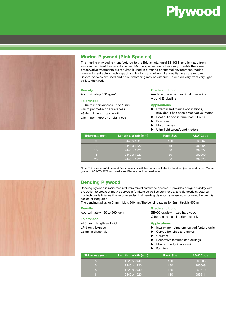



# Marine Plywood (Pink Species)

This marine plywood is manufactured to the Bristish standard BS 1088, and is made from sustainable mixed hardwood species. Marine species are not naturally durable therefore preservative treatments are required if used in a marine or external environment. Marine plywood is suitable in high impact applications and where high quality faces are required. Several species are used and colour matching may be difficult. Colour will vary from very light pink to dark red.

#### **Density**

Approximately 580 kg/m3

#### **Tolerances**

±0.6mm in thicknesses up to 18mm ±1mm per metre on squareness ±3.5mm in length and width ±1mm per metre on straightness

#### **Grade and bond**

A/A face grade, with minimal core voids A bond EI glueline

#### **Applications**

- $\blacktriangleright$  External and marina applications, provided it has been preservative treated.
- Boat hulls and internal boat fit outs
- Pontoons
- Motor homes
- Ultra-light aircraft and models

| <b>Thickness (mm)</b> | Length x Width (mm) | <b>Pack Size</b> | <b>ASW Code</b> |
|-----------------------|---------------------|------------------|-----------------|
| O                     | 2440 x 1220         | 100              | 960067          |
| 12 <sub>1</sub>       | 2440 x 1220         | 75               | 960068          |
| 15 <sub>1</sub>       | 2440 x 1220         | 60               | 964372          |
| 18                    | 2440 x 1220         | 50               | 960069          |
| 25                    | 2440 x 1220         | 36               | 964373          |

Note: Thicknesses of 4mm and 6mm are also available but are not stocked and subject to lead times. Marine grade to AS/NZS 2272 also available. Please check for leadtimes.

## Bending Plywood

Bending plywood is manufactured from mixed hardwood species. It provides design flexibility with the option to create attractive curves in furniture as well as commercial and domestic structures. For high grade finishes it is recommended that bending plywood is veneered or covered before it is sealed or lacquered.

The bending radius for 5mm thick is 300mm. The bending radius for 8mm thick is 450mm.

#### **Density**

Approximately 480 to 560 kg/m3

#### **Tolerances**

±7% on thickness ±5mm in diagonals

±1.5mm in length and width

### C bond glueline – interior use only

**Grade and bond**

#### **Applications**

- $\blacktriangleright$  Interior, non-structural curved feature walls
- Curved benches and tables

BB/CC grade – mixed hardwood

- Columns
- Decorative features and ceilings
- Most curved joinery work
- **Furniture**

| Thickness (mm) | Length x Width (mm) | <b>Pack Size</b> | <b>ASW Code</b> |
|----------------|---------------------|------------------|-----------------|
|                | 1220 x 2440         | 180              | 963608          |
|                | 2440 x 1220         | 180              | 963609          |
|                | 1220 x 2440         | 130              | 963610          |
|                | 2440 x 1220         | 130              | 963611          |

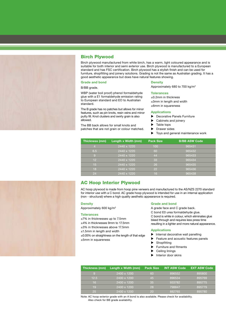

## Birch Plywood

Birch plywood manufactured from white birch, has a warm, light coloured appearance and is suitable for both interior and semi exterior use. Birch plywood is manufactured to a European standard and has FSC certification. Birch plywood has a stylish finish and can be used for furniture, shopfitting and joinery solutions. Grading is not the same as Australian grading. It has a good aesthetic appearance but does have natural features showing.

#### **Grade and bond**

B/BB grade.

WBP (water boil proof) phenol formaldehyde glue with a E1 formaldehyde emission rating to European standard and EO to Australian standard.

The B grade has no patches but allows for minor features, such as pin knots, resin veins and minor putty fill. Knot clusters and swirly grain is also allowed.

The BB back allows for small knots and patches that are not grain or colour matched.

#### **Density**

Approximately 680 to 700 kg/m3

#### **Tolerances**

±0.2mm in thickness

±3mm in length and width

±6mm in squareness

#### **Applications**

**Decorative Panels Furniture** 

- Cabinets and joinery
- Table tops
- Drawer sides
- Toys and general maintenance work

| Thickness (mm)  | Length x Width (mm) | <b>Pack Size</b> | <b>B/BB ASW Code</b> |
|-----------------|---------------------|------------------|----------------------|
|                 | 2440 x 1220         | 100              | 965431               |
| 6.5             | 2440 x 1220         | 60               | 965432               |
| 9               | 2440 x 1220         | 44               | 965433               |
| 12 <sup>2</sup> | 2440 x 1220         | 33               | 965434               |
| 15              | 2440 x 1220         | 26               | 965435               |
| 18              | 2440 x 1220         | 22               | 965436               |
| 24              | 2440 x 1220         | 16               | 965438               |

## AC Hoop Interior Plywood

AC hoop plywood is made from hoop pine veneers and manufactured to the AS/NZS 2270 standard for interior use with a C bond. AC grade hoop plywood is intended for use in an internal application (non - structural) where a high quality aesthetic appearance is required.

#### **Density**

Approximately 600 kg/m3

#### **Tolerances**

±7% in thicknesses up to 7.5mm

- ±4% in thicknesses 9mm to 17.5mm
- ±3% in thicknesses above 17.5mm
- ±1.5mm in length and width

±0.05% on straightness on the length of that edge ±5mm in squareness

#### **Grade and bond**

A grade face and C grade back.

C bond E0 urea formaldehyde glue.

C bond is white in colour, which eliminates glue bleed through and requires less press time resulting in a lighter and more natural appearance.

#### **Applications**

- $\blacktriangleright$  Internal decorative wall panelling
- Feature and acoustic features panels
- Shopfitting
- Furniture and fitments
- Ceiling linings
- Interior door skins

| Thickness (mm) | Length x Width (mm) | <b>Pack Size</b> | <b>INT ASW Code</b> | <b>EXT ASW Code</b> |
|----------------|---------------------|------------------|---------------------|---------------------|
| $\overline{Q}$ | 2400 x 1200         | 60               | 896552              | 895800              |
| 12.5           | 2400 x 1200         | 45'              | 896534              | 895769              |
| 16             | 2400 x 1200         | 35               | 933782              | 895775              |
| 19             | 2400 x 1200         | 28               | 798847              | 895779              |
| 25             | 2400 x 1200         | 20               | 882765              | 895780              |

Note: AC hoop exterior grade with an A bond is also available. Please check for availability. Also check for BB grade availability.

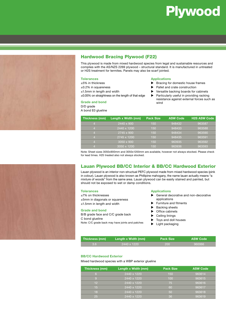# Plywood



# Hardwood Bracing Plywood (F22)

This plywood is made from mixed hardwood species from legal and sustainable resources and complies with the AS/NZS 2269 plywood – structural standard. It is manufactured in untreated or H2S treatment for termites. Panels may also be scarf jointed.

#### **Tolerances**

- ±5% in thickness
- ±0.2% in squareness
- ±1.5mm in length and width

±0.05% on straightness on the length of that edge

#### **Grade and bond**

D/D grade A bond E0 glueline

#### **Applications**

- $\blacktriangleright$  Bracing for domestic house frames
- Pallet and crate construction
- Versatile backing boards for cabinets
	- Particularly useful in providing racking resistance against external forces such as wind

| Thickness (mm) | Length x Width (mm) | <b>Pack Size</b> | <b>ASW Code</b> | <b>H2S ASW Code</b> |
|----------------|---------------------|------------------|-----------------|---------------------|
| 4              | 2440 x 900          | 150              | 948432          | 963587              |
| 4              | 2440 x 1200         | 150              | 948433          | 963588              |
| 4              | 2745 x 900          | 150              | 948434          | 963590              |
| 4              | 2745 x 1200         | 150              | 948435          | 963591              |
| 4              | $3050 \times 900$   | 150              | 963935          | 963592              |
| 4              | 3050 x 1200         | 150              | 963936          | 963593              |

Note: Sheet sizes 3050x900mm and 3050x1200mm are available, however not always stocked. Please check for lead times. H25 treated also not always stocked.

## Lauan Plywood BB/CC Interior & BB/CC Hardwood Exterior

Lauan plywood is an interior non-structual PEFC plywood made from mixed hardwood species (pink in colour). Lauan plywood is also known as Phillipine mahogany, the name lauan actually means "a mixture of woods" from the same area. Lauan plywood can be easily stained and painted, but should not be exposed to wet or damp conditions.

#### **Tolerances**

±7% on thicknesses ±5mm in diagonals or squareness ±1.5mm in length and width

#### **Grade and bond**

B/B grade face and C/C grade back

C bond glueline Note: C/C grade back may have joints and patches

#### **Applications**

- General decorative and non-decorative applications
- Furniture and fitments
- Backing sheets
- Office cabinets
- Ceiling linings
- Toys and doll houses
- **Light packaging**

| Thickness (mm) | Length x Width (mm) | <b>Pack Size</b> | <b>ASW Code</b> |
|----------------|---------------------|------------------|-----------------|
| 3.6            | i 2440 x 1220 ˈ     | .200             | 960066          |

#### **BB/CC Hardwood Exterior**

Mixed hardwood species with a WBP exterior glueline

| Thickness (mm)  | Length x Width (mm) | <b>Pack Size</b> | <b>ASW Code</b> |
|-----------------|---------------------|------------------|-----------------|
| 6.              | 2440 x 1220         | 150              | 963614          |
|                 | 2440 x 1220         | 100              | 963615          |
| 12 <sup>2</sup> | 2440 x 1220         | 75               | 963616          |
| /15/            | 2440 x 1220         | 60               | 963617          |
| 18              | 2440 x 1220         | 50               | 963618          |
| 25              | 2440 x 1220         | 36               | 963619          |